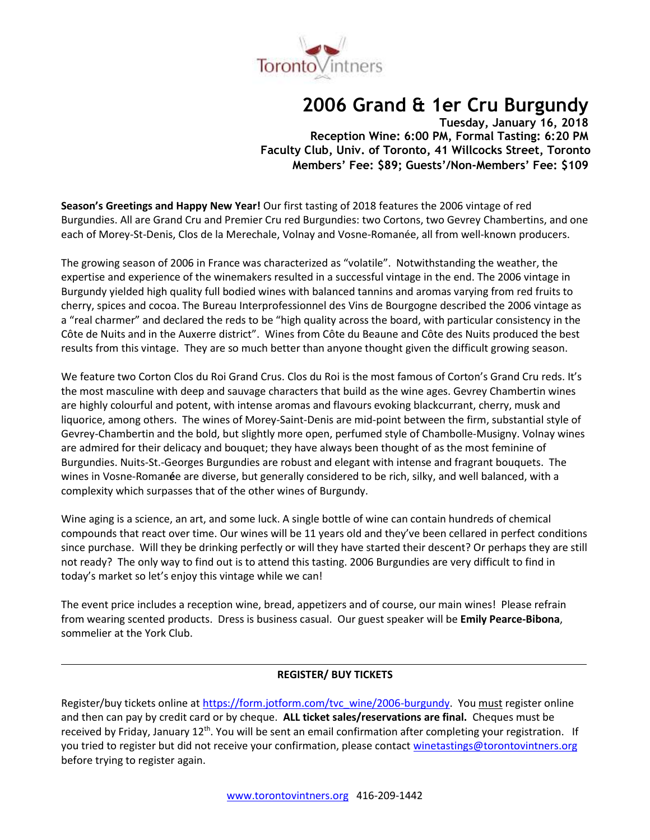

# **2006 Grand & 1er Cru Burgundy**

**Tuesday, January 16, 2018 Reception Wine: 6:00 PM, Formal Tasting: 6:20 PM Faculty Club, Univ. of Toronto, 41 Willcocks Street, Toronto Members' Fee: \$89; Guests'/Non-Members' Fee: \$109**

**Season's Greetings and Happy New Year!** Our first tasting of 2018 features the 2006 vintage of red Burgundies. All are Grand Cru and Premier Cru red Burgundies: two Cortons, two Gevrey Chambertins, and one each of Morey-St-Denis, Clos de la Merechale, Volnay and Vosne-Romanée, all from well-known producers.

The growing season of 2006 in France was characterized as "volatile". Notwithstanding the weather, the expertise and experience of the winemakers resulted in a successful vintage in the end. The 2006 vintage in Burgundy yielded high quality full bodied wines with balanced tannins and aromas varying from red fruits to cherry, spices and cocoa. The Bureau Interprofessionnel des Vins de Bourgogne described the 2006 vintage as a "real charmer" and declared the reds to be "high quality across the board, with particular consistency in the Côte de Nuits and in the Auxerre district". Wines from Côte du Beaune and Côte des Nuits produced the best results from this vintage. They are so much better than anyone thought given the difficult growing season.

We feature two Corton Clos du Roi Grand Crus. Clos du Roi is the most famous of Corton's Grand Cru reds. It's the most masculine with deep and sauvage characters that build as the wine ages. Gevrey Chambertin wines are highly colourful and potent, with intense aromas and flavours evoking blackcurrant, cherry, musk and liquorice, among others. The wines of Morey-Saint-Denis are mid-point between the firm, substantial style of Gevrey-Chambertin and the bold, but slightly more open, perfumed style of Chambolle-Musigny. Volnay wines are admired for their delicacy and bouquet; they have always been thought of as the most feminine of Burgundies. Nuits-St.-Georges Burgundies are robust and elegant with intense and fragrant bouquets. The wines in Vosne-Roman**é**e are diverse, but generally considered to be rich, silky, and well balanced, with a complexity which surpasses that of the other wines of Burgundy.

Wine aging is a science, an art, and some luck. A single bottle of wine can contain hundreds of chemical compounds that react over time. Our wines will be 11 years old and they've been cellared in perfect conditions since purchase. Will they be drinking perfectly or will they have started their descent? Or perhaps they are still not ready? The only way to find out is to attend this tasting. 2006 Burgundies are very difficult to find in today's market so let's enjoy this vintage while we can!

The event price includes a reception wine, bread, appetizers and of course, our main wines! Please refrain from wearing scented products. Dress is business casual. Our guest speaker will be **Emily Pearce-Bibona**, sommelier at the York Club.

# **REGISTER/ BUY TICKETS**

Register/buy tickets online at [https://form.jotform.com/tvc\\_wine/2006-burgundy.](https://form.jotform.com/tvc_wine/2006-burgundy) You must register online and then can pay by credit card or by cheque. **ALL ticket sales/reservations are final.** Cheques must be received by Friday, January 12<sup>th</sup>. You will be sent an email confirmation after completing your registration. If you tried to register but did not receive your confirmation, please contact [winetastings@torontovintners.org](mailto:winetastings@torontovintners.org)  before trying to register again.